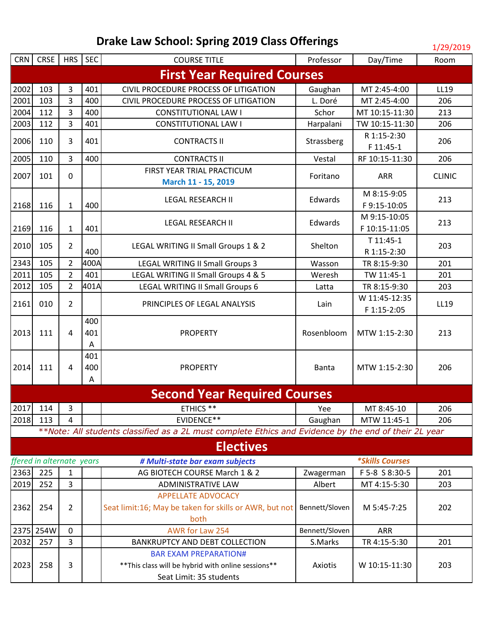|                                    |                           |                           |      |                                                                                                       |                |                               | 17 29 2019    |  |
|------------------------------------|---------------------------|---------------------------|------|-------------------------------------------------------------------------------------------------------|----------------|-------------------------------|---------------|--|
| <b>CRN</b>                         | CRSE                      | HRS SEC                   |      | <b>COURSE TITLE</b>                                                                                   | Professor      | Day/Time                      | Room          |  |
| <b>First Year Required Courses</b> |                           |                           |      |                                                                                                       |                |                               |               |  |
| 2002                               | 103                       | 3                         | 401  | CIVIL PROCEDURE PROCESS OF LITIGATION                                                                 | Gaughan        | MT 2:45-4:00                  | LL19          |  |
| 2001                               | 103                       | 3                         | 400  | CIVIL PROCEDURE PROCESS OF LITIGATION                                                                 | L. Doré        | MT 2:45-4:00                  | 206           |  |
| 2004                               | 112                       | 3                         | 400  | <b>CONSTITUTIONAL LAW I</b>                                                                           | Schor          | MT 10:15-11:30                | 213           |  |
| 2003                               | 112                       | 3                         | 401  | <b>CONSTITUTIONAL LAW I</b>                                                                           | Harpalani      | TW 10:15-11:30                | 206           |  |
| 2006                               | 110                       | 3                         | 401  | <b>CONTRACTS II</b>                                                                                   | Strassberg     | R 1:15-2:30<br>F 11:45-1      | 206           |  |
| 2005                               | 110                       | $\overline{3}$            | 400  | <b>CONTRACTS II</b>                                                                                   | Vestal         | RF 10:15-11:30                | 206           |  |
|                                    |                           |                           |      | FIRST YEAR TRIAL PRACTICUM                                                                            |                |                               |               |  |
| 2007                               | 101                       | 0                         |      | March 11 - 15, 2019                                                                                   | Foritano       | <b>ARR</b>                    | <b>CLINIC</b> |  |
|                                    |                           |                           |      | <b>LEGAL RESEARCH II</b>                                                                              | Edwards        | M 8:15-9:05                   | 213           |  |
| 2168                               | 116                       | $\mathbf{1}$              | 400  |                                                                                                       |                | F9:15-10:05                   |               |  |
| 2169                               | 116                       | $\mathbf{1}$              | 401  | <b>LEGAL RESEARCH II</b>                                                                              | Edwards        | M 9:15-10:05<br>F 10:15-11:05 | 213           |  |
|                                    |                           |                           |      |                                                                                                       |                | T 11:45-1                     |               |  |
| 2010                               | 105                       | $\overline{2}$            | 400  | LEGAL WRITING II Small Groups 1 & 2                                                                   | Shelton        | R 1:15-2:30                   | 203           |  |
| 2343                               | 105                       | $\overline{2}$            | 400A | <b>LEGAL WRITING II Small Groups 3</b>                                                                | Wasson         | TR 8:15-9:30                  | 201           |  |
| 2011                               | 105                       | $\overline{2}$            | 401  | LEGAL WRITING II Small Groups 4 & 5                                                                   | Weresh         | TW 11:45-1                    | 201           |  |
| 2012                               | 105                       | $\overline{2}$            | 401A | LEGAL WRITING II Small Groups 6                                                                       | Latta          | TR 8:15-9:30                  | 203           |  |
|                                    |                           |                           |      |                                                                                                       |                | W 11:45-12:35                 |               |  |
| 2161                               | 010                       | $\overline{2}$            |      | PRINCIPLES OF LEGAL ANALYSIS                                                                          | Lain           | F 1:15-2:05                   | LL19          |  |
|                                    |                           |                           | 400  |                                                                                                       |                |                               |               |  |
| 2013                               | 111                       | 4                         | 401  | <b>PROPERTY</b>                                                                                       | Rosenbloom     | MTW 1:15-2:30                 | 213           |  |
|                                    |                           |                           | Α    |                                                                                                       |                |                               |               |  |
|                                    |                           |                           | 401  |                                                                                                       |                |                               |               |  |
| 2014                               | 111                       | 4                         | 400  | <b>PROPERTY</b>                                                                                       | Banta          | MTW 1:15-2:30                 | 206           |  |
|                                    |                           |                           | A    |                                                                                                       |                |                               |               |  |
|                                    |                           |                           |      | <b>Second Year Required Courses</b>                                                                   |                |                               |               |  |
|                                    | $2017$ 114                | 3                         |      | ETHICS **                                                                                             | Yee            | MT 8:45-10                    | 206           |  |
| 2018                               | 113                       | 4                         |      | EVIDENCE**                                                                                            | Gaughan        | MTW 11:45-1                   | 206           |  |
|                                    |                           |                           |      | **Note: All students classified as a 2L must complete Ethics and Evidence by the end of their 2L year |                |                               |               |  |
|                                    |                           |                           |      | <b>Electives</b>                                                                                      |                |                               |               |  |
|                                    | ffered in alternate years |                           |      | # Multi-state bar exam subjects                                                                       |                | <i><b>*Skills Courses</b></i> |               |  |
| 2363                               | 225                       | $\mathbf{1}$              |      | AG BIOTECH COURSE March 1 & 2                                                                         | Zwagerman      | F 5-8 S 8:30-5                | 201           |  |
| 2019                               | 252                       | $\overline{3}$            |      | <b>ADMINISTRATIVE LAW</b>                                                                             | Albert         | MT 4:15-5:30                  | 203           |  |
|                                    |                           | <b>APPELLATE ADVOCACY</b> |      |                                                                                                       |                |                               |               |  |
| 2362                               | 254                       | $\overline{2}$            |      | Seat limit:16; May be taken for skills or AWR, but not                                                | Bennett/Sloven | M 5:45-7:25                   | 202           |  |
|                                    |                           |                           |      | both                                                                                                  |                |                               |               |  |
|                                    | 2375 254W                 | $\mathbf 0$               |      | AWR for Law 254                                                                                       | Bennett/Sloven | <b>ARR</b>                    |               |  |
| 2032                               | 257                       | 3                         |      | BANKRUPTCY AND DEBT COLLECTION                                                                        | S.Marks        | TR 4:15-5:30                  | 201           |  |
| 2023                               | 258                       | 3                         |      | <b>BAR EXAM PREPARATION#</b><br>** This class will be hybrid with online sessions**                   | Axiotis        | W 10:15-11:30                 | 203           |  |
|                                    |                           |                           |      | Seat Limit: 35 students                                                                               |                |                               |               |  |
|                                    |                           |                           |      |                                                                                                       |                |                               |               |  |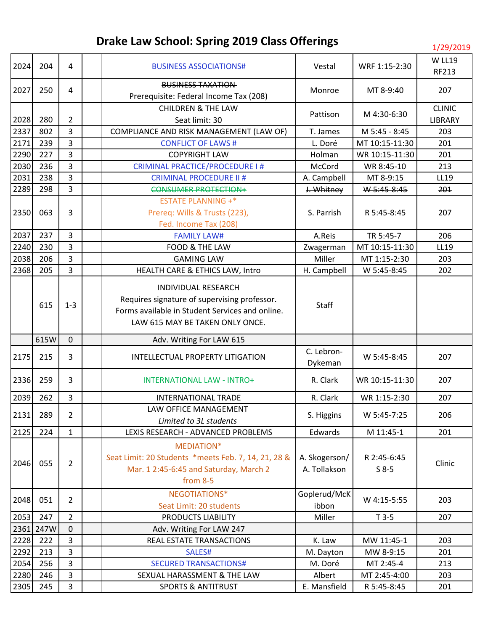| 2024         | 204        | 4                       | <b>BUSINESS ASSOCIATIONS#</b>                                                                                                                             | Vestal                        | WRF 1:15-2:30             | <b>W LL19</b><br>RF213   |
|--------------|------------|-------------------------|-----------------------------------------------------------------------------------------------------------------------------------------------------------|-------------------------------|---------------------------|--------------------------|
| 2027         | 250        | $\overline{4}$          | <b>BUSINESS TAXATION</b><br>Prerequisite: Federal Income Tax (208)                                                                                        | <b>Monroe</b>                 | MT 8-9:40                 | 207                      |
| 2028         | 280        | $\overline{2}$          | <b>CHILDREN &amp; THE LAW</b><br>Seat limit: 30                                                                                                           | Pattison                      | M 4:30-6:30               | <b>CLINIC</b><br>LIBRARY |
| 2337         | 802        | 3                       | COMPLIANCE AND RISK MANAGEMENT (LAW OF)                                                                                                                   | T. James                      | M 5:45 - 8:45             | 203                      |
| 2171         | 239        | 3                       | <b>CONFLICT OF LAWS#</b>                                                                                                                                  | L. Doré                       | MT 10:15-11:30            | 201                      |
| 2290         | 227        | 3                       | <b>COPYRIGHT LAW</b>                                                                                                                                      | Holman                        | WR 10:15-11:30            | 201                      |
| 2030         | 236        | 3                       | CRIMINAL PRACTICE/PROCEDURE I#                                                                                                                            | McCord                        | WR 8:45-10                | 213                      |
| 2031         | 238        | 3                       | <b>CRIMINAL PROCEDURE II #</b>                                                                                                                            | A. Campbell                   | MT 8-9:15                 | LL19                     |
| 2289         | 298        | $\overline{\mathbf{3}}$ | <b>CONSUMER PROTECTION+</b>                                                                                                                               | J. Whitney                    | W 5:45-8:45               | 201                      |
|              |            |                         | <b>ESTATE PLANNING +*</b>                                                                                                                                 |                               |                           |                          |
| 2350         | 063        | 3                       | Prereq: Wills & Trusts (223),                                                                                                                             | S. Parrish                    | R 5:45-8:45               | 207                      |
|              |            |                         | Fed. Income Tax (208)                                                                                                                                     |                               |                           |                          |
| 2037         | 237        | 3                       | <b>FAMILY LAW#</b>                                                                                                                                        | A.Reis                        | TR 5:45-7                 | 206                      |
| 2240         | 230        | 3                       | FOOD & THE LAW                                                                                                                                            | Zwagerman                     | MT 10:15-11:30            | LL19                     |
| 2038         | 206        | 3                       | <b>GAMING LAW</b>                                                                                                                                         | Miller                        | MT 1:15-2:30              | 203                      |
| 2368         | 205        | 3                       | HEALTH CARE & ETHICS LAW, Intro                                                                                                                           | H. Campbell                   | W 5:45-8:45               | 202                      |
|              | 615        | $1 - 3$                 | INDIVIDUAL RESEARCH<br>Requires signature of supervising professor.<br>Forms available in Student Services and online.<br>LAW 615 MAY BE TAKEN ONLY ONCE. | Staff                         |                           |                          |
|              | 615W       | $\mathbf{0}$            | Adv. Writing For LAW 615                                                                                                                                  |                               |                           |                          |
|              |            |                         |                                                                                                                                                           | C. Lebron-                    |                           |                          |
| 2175         | 215        | 3                       | INTELLECTUAL PROPERTY LITIGATION                                                                                                                          | Dykeman                       | W 5:45-8:45               | 207                      |
| 2336         | 259        | 3                       | <b>INTERNATIONAL LAW - INTRO+</b>                                                                                                                         | R. Clark                      | WR 10:15-11:30            | 207                      |
| 2039         | 262        | 3                       | <b>INTERNATIONAL TRADE</b>                                                                                                                                | R. Clark                      | WR 1:15-2:30              | 207                      |
|              |            |                         | LAW OFFICE MANAGEMENT                                                                                                                                     |                               |                           |                          |
| 2131         | 289        | 2                       | Limited to 3L students                                                                                                                                    | S. Higgins                    | W 5:45-7:25               | 206                      |
| 2125         | 224        | $\mathbf{1}$            | LEXIS RESEARCH - ADVANCED PROBLEMS                                                                                                                        | Edwards                       | M 11:45-1                 | 201                      |
| 2046         | 055        | $\overline{2}$          | MEDIATION*<br>Seat Limit: 20 Students *meets Feb. 7, 14, 21, 28 &<br>Mar. 1 2:45-6:45 and Saturday, March 2<br>from 8-5                                   | A. Skogerson/<br>A. Tollakson | R 2:45-6:45<br>$S$ 8-5    | Clinic                   |
| 2048         | 051        | $\overline{2}$          | NEGOTIATIONS*                                                                                                                                             | Goplerud/McK                  | W 4:15-5:55               | 203                      |
|              |            |                         | Seat Limit: 20 students                                                                                                                                   | ibbon                         |                           |                          |
| 2053         | 247        | $\overline{2}$          | PRODUCTS LIABILITY                                                                                                                                        | Miller                        | $T3-5$                    | 207                      |
|              | 2361 247W  | $\mathbf 0$             | Adv. Writing For LAW 247                                                                                                                                  |                               |                           |                          |
| 2228         | 222        | 3                       | REAL ESTATE TRANSACTIONS                                                                                                                                  | K. Law                        | MW 11:45-1                | 203                      |
| 2292         | 213        | 3                       | SALES#                                                                                                                                                    | M. Dayton                     | MW 8-9:15                 | 201                      |
| 2054<br>2280 | 256<br>246 | 3<br>3                  | <b>SECURED TRANSACTIONS#</b><br>SEXUAL HARASSMENT & THE LAW                                                                                               | M. Doré<br>Albert             | MT 2:45-4<br>MT 2:45-4:00 | 213<br>203               |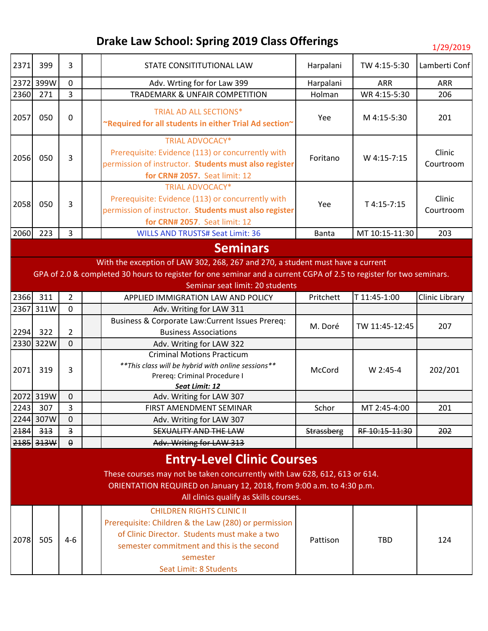| 2371                                                                                                                                                                                                                               | 399       | 3                       |  | STATE CONSITITUTIONAL LAW                                                                                                                                                                                                    | Harpalani  | TW 4:15-5:30   | Lamberti Conf         |
|------------------------------------------------------------------------------------------------------------------------------------------------------------------------------------------------------------------------------------|-----------|-------------------------|--|------------------------------------------------------------------------------------------------------------------------------------------------------------------------------------------------------------------------------|------------|----------------|-----------------------|
|                                                                                                                                                                                                                                    | 2372 399W | $\mathbf{0}$            |  | Adv. Wrting for for Law 399                                                                                                                                                                                                  | Harpalani  | <b>ARR</b>     | ARR                   |
| 2360                                                                                                                                                                                                                               | 271       | $\overline{3}$          |  | <b>TRADEMARK &amp; UNFAIR COMPETITION</b>                                                                                                                                                                                    | Holman     | WR 4:15-5:30   | 206                   |
| 2057                                                                                                                                                                                                                               | 050       | $\mathbf 0$             |  | <b>TRIAL AD ALL SECTIONS*</b><br>~Required for all students in either Trial Ad section~                                                                                                                                      | Yee        | M 4:15-5:30    | 201                   |
| 2056                                                                                                                                                                                                                               | 050       | 3                       |  | <b>TRIAL ADVOCACY*</b><br>Prerequisite: Evidence (113) or concurrently with<br>permission of instructor. Students must also register<br>for CRN# 2057. Seat limit: 12                                                        | Foritano   | W 4:15-7:15    | Clinic<br>Courtroom   |
| 2058                                                                                                                                                                                                                               | 050       | 3                       |  | <b>TRIAL ADVOCACY*</b><br>Prerequisite: Evidence (113) or concurrently with<br>permission of instructor. Students must also register<br>for CRN# 2057. Seat limit: 12                                                        | Yee        | T 4:15-7:15    | Clinic<br>Courtroom   |
| 2060                                                                                                                                                                                                                               | 223       | $\overline{3}$          |  | <b>WILLS AND TRUSTS# Seat Limit: 36</b>                                                                                                                                                                                      | Banta      | MT 10:15-11:30 | 203                   |
|                                                                                                                                                                                                                                    |           |                         |  | <b>Seminars</b>                                                                                                                                                                                                              |            |                |                       |
|                                                                                                                                                                                                                                    |           |                         |  | With the exception of LAW 302, 268, 267 and 270, a student must have a current                                                                                                                                               |            |                |                       |
|                                                                                                                                                                                                                                    |           |                         |  | GPA of 2.0 & completed 30 hours to register for one seminar and a current CGPA of 2.5 to register for two seminars.                                                                                                          |            |                |                       |
|                                                                                                                                                                                                                                    |           |                         |  | Seminar seat limit: 20 students                                                                                                                                                                                              |            |                |                       |
| 2366                                                                                                                                                                                                                               | 311       | $\overline{2}$          |  | APPLIED IMMIGRATION LAW AND POLICY                                                                                                                                                                                           | Pritchett  | T 11:45-1:00   | <b>Clinic Library</b> |
| 2367                                                                                                                                                                                                                               | 311W      | 0                       |  | Adv. Writing for LAW 311                                                                                                                                                                                                     |            |                |                       |
|                                                                                                                                                                                                                                    |           |                         |  | Business & Corporate Law: Current Issues Prereq:                                                                                                                                                                             | M. Doré    | TW 11:45-12:45 | 207                   |
| 2294                                                                                                                                                                                                                               | 322       | $\overline{2}$          |  | <b>Business Associations</b>                                                                                                                                                                                                 |            |                |                       |
|                                                                                                                                                                                                                                    | 2330 322W | $\mathbf 0$             |  | Adv. Writing for LAW 322                                                                                                                                                                                                     |            |                |                       |
| 2071                                                                                                                                                                                                                               | 319       | 3                       |  | <b>Criminal Motions Practicum</b><br>** This class will be hybrid with online sessions**<br>Prereq: Criminal Procedure I<br>Seat Limit: 12                                                                                   | McCord     | W 2:45-4       | 202/201               |
|                                                                                                                                                                                                                                    | 2072 319W | $\mathbf 0$             |  | Adv. Writing for LAW 307                                                                                                                                                                                                     |            |                |                       |
| 2243                                                                                                                                                                                                                               | 307       | 3                       |  | FIRST AMENDMENT SEMINAR                                                                                                                                                                                                      | Schor      | MT 2:45-4:00   | 201                   |
|                                                                                                                                                                                                                                    | 2244 307W | $\mathbf 0$             |  | Adv. Writing for LAW 307                                                                                                                                                                                                     |            |                |                       |
| 2184                                                                                                                                                                                                                               | 313       | $\overline{\mathbf{3}}$ |  | <b>SEXUALITY AND THE LAW</b>                                                                                                                                                                                                 | Strassberg | RF 10:15-11:30 | 202                   |
|                                                                                                                                                                                                                                    | 2185 313W | $\Theta$                |  | Adv. Writing for LAW 313                                                                                                                                                                                                     |            |                |                       |
| <b>Entry-Level Clinic Courses</b><br>These courses may not be taken concurrently with Law 628, 612, 613 or 614.<br>ORIENTATION REQUIRED on January 12, 2018, from 9:00 a.m. to 4:30 p.m.<br>All clinics qualify as Skills courses. |           |                         |  |                                                                                                                                                                                                                              |            |                |                       |
| 2078                                                                                                                                                                                                                               | 505       | $4 - 6$                 |  | <b>CHILDREN RIGHTS CLINIC II</b><br>Prerequisite: Children & the Law (280) or permission<br>of Clinic Director. Students must make a two<br>semester commitment and this is the second<br>semester<br>Seat Limit: 8 Students | Pattison   | <b>TBD</b>     | 124                   |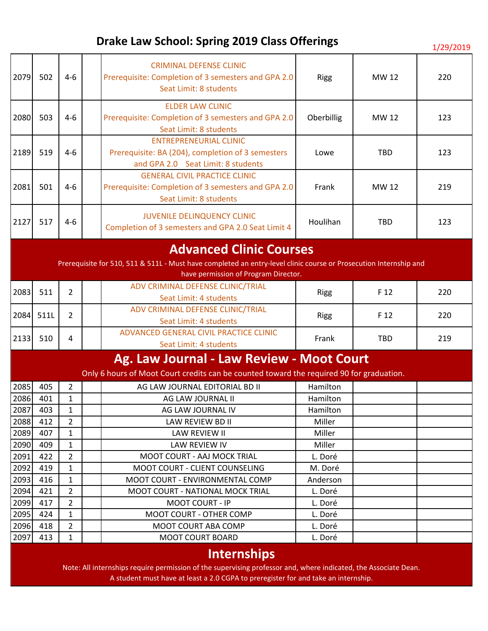| 2079 | 502                                                                                                                                                                                         | $4 - 6$        |  | <b>CRIMINAL DEFENSE CLINIC</b><br>Prerequisite: Completion of 3 semesters and GPA 2.0<br>Seat Limit: 8 students          | <b>Rigg</b> | MW 12      | 220 |  |
|------|---------------------------------------------------------------------------------------------------------------------------------------------------------------------------------------------|----------------|--|--------------------------------------------------------------------------------------------------------------------------|-------------|------------|-----|--|
| 2080 | 503                                                                                                                                                                                         | $4 - 6$        |  | <b>ELDER LAW CLINIC</b><br>Prerequisite: Completion of 3 semesters and GPA 2.0<br>Seat Limit: 8 students                 | Oberbillig  | MW 12      | 123 |  |
| 2189 | 519                                                                                                                                                                                         | $4 - 6$        |  | <b>ENTREPRENEURIAL CLINIC</b><br>Prerequisite: BA (204), completion of 3 semesters<br>and GPA 2.0 Seat Limit: 8 students | Lowe        | <b>TBD</b> | 123 |  |
| 2081 | 501                                                                                                                                                                                         | $4 - 6$        |  | <b>GENERAL CIVIL PRACTICE CLINIC</b><br>Prerequisite: Completion of 3 semesters and GPA 2.0<br>Seat Limit: 8 students    | Frank       | MW 12      | 219 |  |
| 2127 | 517                                                                                                                                                                                         | $4 - 6$        |  | <b>JUVENILE DELINQUENCY CLINIC</b><br>Completion of 3 semesters and GPA 2.0 Seat Limit 4                                 | Houlihan    | <b>TBD</b> | 123 |  |
|      | <b>Advanced Clinic Courses</b><br>Prerequisite for 510, 511 & 511L - Must have completed an entry-level clinic course or Prosecution Internship and<br>have permission of Program Director. |                |  |                                                                                                                          |             |            |     |  |
| 2083 | 511                                                                                                                                                                                         | $\overline{2}$ |  | ADV CRIMINAL DEFENSE CLINIC/TRIAL<br>Seat Limit: 4 students                                                              | <b>Rigg</b> | F 12       | 220 |  |
| 2084 | 511L                                                                                                                                                                                        | $\overline{2}$ |  | ADV CRIMINAL DEFENSE CLINIC/TRIAL<br>Seat Limit: 4 students                                                              | <b>Rigg</b> | F 12       | 220 |  |
| 2133 | 510                                                                                                                                                                                         | 4              |  | ADVANCED GENERAL CIVIL PRACTICE CLINIC<br>Seat Limit: 4 students                                                         | Frank       | <b>TBD</b> | 219 |  |
|      |                                                                                                                                                                                             |                |  | Ag. Law Journal - Law Review - Moot Court                                                                                |             |            |     |  |
|      |                                                                                                                                                                                             |                |  | Only 6 hours of Moot Court credits can be counted toward the required 90 for graduation.                                 |             |            |     |  |
| 2085 | 405                                                                                                                                                                                         | $\overline{2}$ |  | AG LAW JOURNAL EDITORIAL BD II                                                                                           | Hamilton    |            |     |  |
| 2086 | 401                                                                                                                                                                                         | $\mathbf{1}$   |  | AG LAW JOURNAL II                                                                                                        | Hamilton    |            |     |  |
| 2087 | 403                                                                                                                                                                                         | $\mathbf{1}$   |  | AG LAW JOURNAL IV                                                                                                        | Hamilton    |            |     |  |
| 2088 | 412                                                                                                                                                                                         | $\overline{2}$ |  | LAW REVIEW BD II                                                                                                         | Miller      |            |     |  |
| 2089 | 407                                                                                                                                                                                         | $\mathbf{1}$   |  | LAW REVIEW II                                                                                                            | Miller      |            |     |  |
| 2090 | 409                                                                                                                                                                                         | 1              |  | <b>LAW REVIEW IV</b>                                                                                                     | Miller      |            |     |  |
| 2091 | 422                                                                                                                                                                                         | $\overline{2}$ |  | <b>MOOT COURT - AAJ MOCK TRIAL</b>                                                                                       | L. Doré     |            |     |  |
| 2092 | 419                                                                                                                                                                                         | $\mathbf{1}$   |  | MOOT COURT - CLIENT COUNSELING                                                                                           | M. Doré     |            |     |  |
| 2093 | 416                                                                                                                                                                                         | $\mathbf{1}$   |  | MOOT COURT - ENVIRONMENTAL COMP                                                                                          | Anderson    |            |     |  |
| 2094 | 421                                                                                                                                                                                         | $\overline{2}$ |  | <b>MOOT COURT - NATIONAL MOCK TRIAL</b>                                                                                  | L. Doré     |            |     |  |
| 2099 | 417                                                                                                                                                                                         | $\overline{2}$ |  | <b>MOOT COURT - IP</b>                                                                                                   | L. Doré     |            |     |  |
| 2095 | 424                                                                                                                                                                                         | 1              |  | MOOT COURT - OTHER COMP                                                                                                  | L. Doré     |            |     |  |
| 2096 | 418                                                                                                                                                                                         | 2              |  | MOOT COURT ABA COMP                                                                                                      | L. Doré     |            |     |  |
| 2097 | 413                                                                                                                                                                                         | $\mathbf{1}$   |  | <b>MOOT COURT BOARD</b>                                                                                                  | L. Doré     |            |     |  |
|      | <b>Internships</b>                                                                                                                                                                          |                |  |                                                                                                                          |             |            |     |  |

Note: All internships require permission of the supervising professor and, where indicated, the Associate Dean. A student must have at least a 2.0 CGPA to preregister for and take an internship.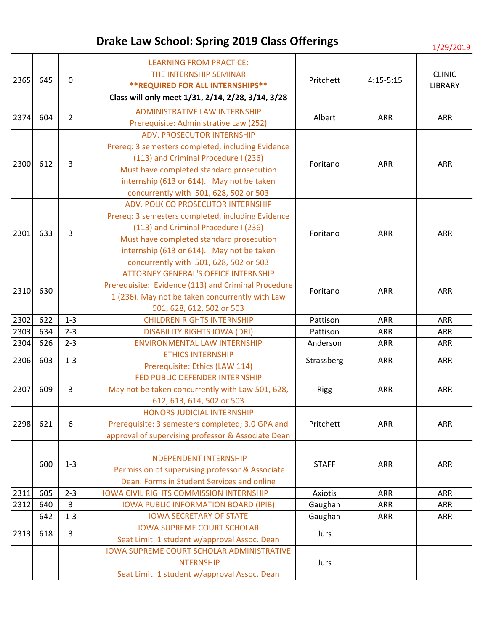| 2365 | 645 | $\mathbf 0$    | <b>LEARNING FROM PRACTICE:</b><br>THE INTERNSHIP SEMINAR<br><b>**REQUIRED FOR ALL INTERNSHIPS**</b><br>Class will only meet 1/31, 2/14, 2/28, 3/14, 3/28                                                                                                           | Pritchett    | $4:15-5:15$ | <b>CLINIC</b><br><b>LIBRARY</b> |
|------|-----|----------------|--------------------------------------------------------------------------------------------------------------------------------------------------------------------------------------------------------------------------------------------------------------------|--------------|-------------|---------------------------------|
| 2374 | 604 | $\overline{2}$ | <b>ADMINISTRATIVE LAW INTERNSHIP</b><br>Prerequisite: Administrative Law (252)                                                                                                                                                                                     | Albert       | <b>ARR</b>  | <b>ARR</b>                      |
| 2300 | 612 | 3              | <b>ADV. PROSECUTOR INTERNSHIP</b><br>Prereq: 3 semesters completed, including Evidence<br>(113) and Criminal Procedure I (236)<br>Must have completed standard prosecution<br>internship (613 or 614). May not be taken<br>concurrently with 501, 628, 502 or 503  | Foritano     | ARR         | <b>ARR</b>                      |
| 2301 | 633 | 3              | ADV. POLK CO PROSECUTOR INTERNSHIP<br>Prereq: 3 semesters completed, including Evidence<br>(113) and Criminal Procedure I (236)<br>Must have completed standard prosecution<br>internship (613 or 614). May not be taken<br>concurrently with 501, 628, 502 or 503 | Foritano     | <b>ARR</b>  | <b>ARR</b>                      |
| 2310 | 630 |                | <b>ATTORNEY GENERAL'S OFFICE INTERNSHIP</b><br>Prerequisite: Evidence (113) and Criminal Procedure<br>1 (236). May not be taken concurrently with Law<br>501, 628, 612, 502 or 503                                                                                 | Foritano     | <b>ARR</b>  | <b>ARR</b>                      |
| 2302 | 622 | $1 - 3$        | <b>CHILDREN RIGHTS INTERNSHIP</b>                                                                                                                                                                                                                                  | Pattison     | <b>ARR</b>  | <b>ARR</b>                      |
| 2303 | 634 | $2 - 3$        | <b>DISABILITY RIGHTS IOWA (DRI)</b>                                                                                                                                                                                                                                | Pattison     | <b>ARR</b>  | ARR                             |
| 2304 | 626 | $2 - 3$        | <b>ENVIRONMENTAL LAW INTERNSHIP</b>                                                                                                                                                                                                                                | Anderson     | <b>ARR</b>  | ARR                             |
| 2306 | 603 | $1 - 3$        | <b>ETHICS INTERNSHIP</b><br>Prerequisite: Ethics (LAW 114)                                                                                                                                                                                                         | Strassberg   | ARR         | <b>ARR</b>                      |
| 2307 | 609 | 3              | FED PUBLIC DEFENDER INTERNSHIP<br>May not be taken concurrently with Law 501, 628,<br>612, 613, 614, 502 or 503                                                                                                                                                    | <b>Rigg</b>  | ARR         | <b>ARR</b>                      |
| 2298 | 621 | 6              | HONORS JUDICIAL INTERNSHIP<br>Prerequisite: 3 semesters completed; 3.0 GPA and<br>approval of supervising professor & Associate Dean                                                                                                                               | Pritchett    | <b>ARR</b>  | ARR                             |
|      | 600 | $1 - 3$        | <b>INDEPENDENT INTERNSHIP</b><br>Permission of supervising professor & Associate<br>Dean. Forms in Student Services and online                                                                                                                                     | <b>STAFF</b> | <b>ARR</b>  | <b>ARR</b>                      |
| 2311 | 605 | $2 - 3$        | <b>IOWA CIVIL RIGHTS COMMISSION INTERNSHIP</b>                                                                                                                                                                                                                     | Axiotis      | <b>ARR</b>  | <b>ARR</b>                      |
| 2312 | 640 | 3              | <b>IOWA PUBLIC INFORMATION BOARD (IPIB)</b>                                                                                                                                                                                                                        | Gaughan      | <b>ARR</b>  | <b>ARR</b>                      |
|      | 642 | $1 - 3$        | <b>IOWA SECRETARY OF STATE</b>                                                                                                                                                                                                                                     | Gaughan      | <b>ARR</b>  | <b>ARR</b>                      |
| 2313 | 618 | 3              | <b>IOWA SUPREME COURT SCHOLAR</b><br>Seat Limit: 1 student w/approval Assoc. Dean                                                                                                                                                                                  | Jurs         |             |                                 |
|      |     |                | <b>IOWA SUPREME COURT SCHOLAR ADMINISTRATIVE</b><br><b>INTERNSHIP</b><br>Seat Limit: 1 student w/approval Assoc. Dean                                                                                                                                              | Jurs         |             |                                 |